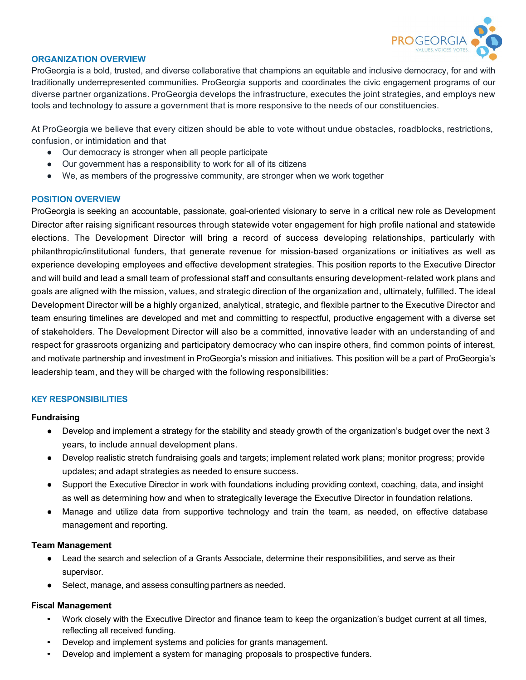

# **ORGANIZATION OVERVIEW**

ProGeorgia is a bold, trusted, and diverse collaborative that champions an equitable and inclusive democracy, for and with traditionally underrepresented communities. ProGeorgia supports and coordinates the civic engagement programs of our diverse partner organizations. ProGeorgia develops the infrastructure, executes the joint strategies, and employs new tools and technology to assure a government that is more responsive to the needs of our constituencies.

At ProGeorgia we believe that every citizen should be able to vote without undue obstacles, roadblocks, restrictions, confusion, or intimidation and that

- Our democracy is stronger when all people participate
- Our government has a responsibility to work for all of its citizens
- We, as members of the progressive community, are stronger when we work together

### **POSITION OVERVIEW**

ProGeorgia is seeking an accountable, passionate, goal-oriented visionary to serve in a critical new role as Development Director after raising significant resources through statewide voter engagement for high profile national and statewide elections. The Development Director will bring a record of success developing relationships, particularly with philanthropic/institutional funders, that generate revenue for mission-based organizations or initiatives as well as experience developing employees and effective development strategies. This position reports to the Executive Director and will build and lead a small team of professional staff and consultants ensuring development-related work plans and goals are aligned with the mission, values, and strategic direction of the organization and, ultimately, fulfilled. The ideal Development Director will be a highly organized, analytical, strategic, and flexible partner to the Executive Director and team ensuring timelines are developed and met and committing to respectful, productive engagement with a diverse set of stakeholders. The Development Director will also be a committed, innovative leader with an understanding of and respect for grassroots organizing and participatory democracy who can inspire others, find common points of interest, and motivate partnership and investment in ProGeorgia's mission and initiatives. This position will be a part of ProGeorgia's leadership team, and they will be charged with the following responsibilities:

# **KEY RESPONSIBILITIES**

#### **Fundraising**

- Develop and implement a strategy for the stability and steady growth of the organization's budget over the next 3 years, to include annual development plans.
- Develop realistic stretch fundraising goals and targets; implement related work plans; monitor progress; provide updates; and adapt strategies as needed to ensure success.
- Support the Executive Director in work with foundations including providing context, coaching, data, and insight as well as determining how and when to strategically leverage the Executive Director in foundation relations.
- Manage and utilize data from supportive technology and train the team, as needed, on effective database management and reporting.

#### **Team Management**

- Lead the search and selection of a Grants Associate, determine their responsibilities, and serve as their supervisor.
- Select, manage, and assess consulting partners as needed.

#### **Fiscal Management**

- Work closely with the Executive Director and finance team to keep the organization's budget current at all times, reflecting all received funding.
- Develop and implement systems and policies for grants management.
- Develop and implement a system for managing proposals to prospective funders.